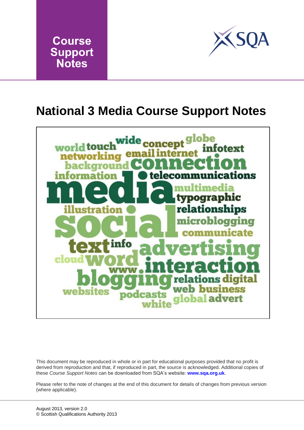



### **National 3 Media Course Support Notes**



This document may be reproduced in whole or in part for educational purposes provided that no profit is derived from reproduction and that, if reproduced in part, the source is acknowledged. Additional copies of these *Course Support Notes* can be downloaded from SQA's website: **[www.sqa.org.uk](http://www.sqa.org.uk/)**.

Please refer to the note of changes at the end of this document for details of changes from previous version (where applicable).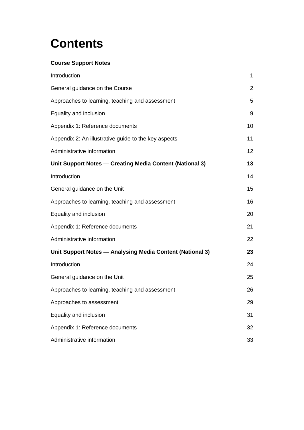## **Contents**

#### **Course Support Notes**

| Introduction                                              | $\mathbf{1}$   |
|-----------------------------------------------------------|----------------|
| General guidance on the Course                            | $\overline{2}$ |
| Approaches to learning, teaching and assessment           | 5              |
| Equality and inclusion                                    | 9              |
| Appendix 1: Reference documents                           | 10             |
| Appendix 2: An illustrative guide to the key aspects      | 11             |
| Administrative information                                | 12             |
| Unit Support Notes - Creating Media Content (National 3)  | 13             |
| Introduction                                              | 14             |
| General guidance on the Unit                              | 15             |
| Approaches to learning, teaching and assessment           | 16             |
| Equality and inclusion                                    | 20             |
| Appendix 1: Reference documents                           | 21             |
| Administrative information                                | 22             |
| Unit Support Notes - Analysing Media Content (National 3) | 23             |
| Introduction                                              | 24             |
| General guidance on the Unit                              | 25             |
| Approaches to learning, teaching and assessment           | 26             |
| Approaches to assessment                                  | 29             |
| Equality and inclusion                                    | 31             |
| Appendix 1: Reference documents                           | 32             |
| Administrative information                                | 33             |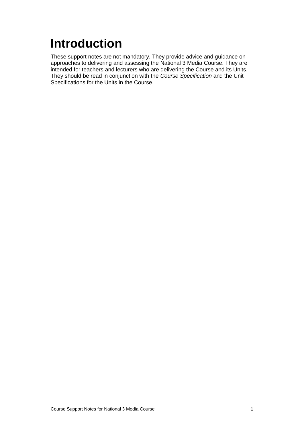# <span id="page-2-0"></span>**Introduction**

These support notes are not mandatory. They provide advice and guidance on approaches to delivering and assessing the National 3 Media Course. They are intended for teachers and lecturers who are delivering the Course and its Units. They should be read in conjunction with the *Course Specification* and the Unit Specifications for the Units in the Course.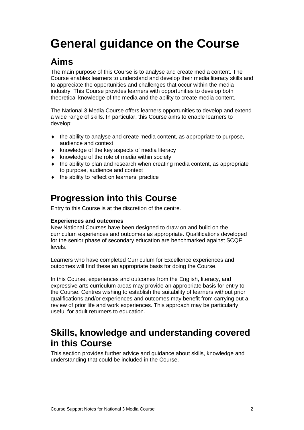## <span id="page-3-0"></span>**General guidance on the Course**

### **Aims**

The main purpose of this Course is to analyse and create media content. The Course enables learners to understand and develop their media literacy skills and to appreciate the opportunities and challenges that occur within the media industry. This Course provides learners with opportunities to develop both theoretical knowledge of the media and the ability to create media content.

The National 3 Media Course offers learners opportunities to develop and extend a wide range of skills. In particular, this Course aims to enable learners to develop:

- the ability to analyse and create media content, as appropriate to purpose, audience and context
- $\bullet$  knowledge of the key aspects of media literacy
- $\bullet$  knowledge of the role of media within society
- $\bullet$  the ability to plan and research when creating media content, as appropriate to purpose, audience and context
- $\bullet$  the ability to reflect on learners' practice

### **Progression into this Course**

Entry to this Course is at the discretion of the centre.

#### **Experiences and outcomes**

New National Courses have been designed to draw on and build on the curriculum experiences and outcomes as appropriate. Qualifications developed for the senior phase of secondary education are benchmarked against SCQF levels.

Learners who have completed Curriculum for Excellence experiences and outcomes will find these an appropriate basis for doing the Course.

In this Course, experiences and outcomes from the English, literacy, and expressive arts curriculum areas may provide an appropriate basis for entry to the Course. Centres wishing to establish the suitability of learners without prior qualifications and/or experiences and outcomes may benefit from carrying out a review of prior life and work experiences. This approach may be particularly useful for adult returners to education.

### **Skills, knowledge and understanding covered in this Course**

This section provides further advice and guidance about skills, knowledge and understanding that could be included in the Course.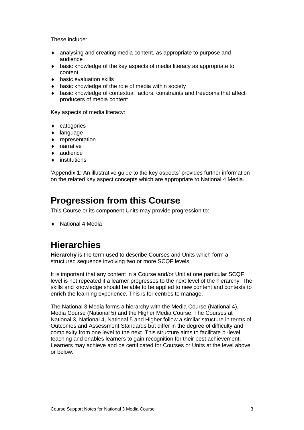These include:

- analysing and creating media content, as appropriate to purpose and audience
- basic knowledge of the key aspects of media literacy as appropriate to content
- ◆ basic evaluation skills
- basic knowledge of the role of media within society
- basic knowledge of contextual factors, constraints and freedoms that affect producers of media content

Key aspects of media literacy:

- ◆ categories
- ◆ language
- **+** representation
- ◆ narrative
- audience
- institutions

'Appendix 1: An illustrative guide to the key aspects' provides further information on the related key aspect concepts which are appropriate to National 4 Media.

### **Progression from this Course**

This Course or its component Units may provide progression to:

◆ National 4 Media

### **Hierarchies**

**Hierarchy** is the term used to describe Courses and Units which form a structured sequence involving two or more SCQF levels.

It is important that any content in a Course and/or Unit at one particular SCQF level is not repeated if a learner progresses to the next level of the hierarchy. The skills and knowledge should be able to be applied to new content and contexts to enrich the learning experience. This is for centres to manage.

The National 3 Media forms a hierarchy with the Media Course (National 4), Media Course (National 5) and the Higher Media Course. The Courses at National 3, National 4, National 5 and Higher follow a similar structure in terms of Outcomes and Assessment Standards but differ in the degree of difficulty and complexity from one level to the next. This structure aims to facilitate bi-level teaching and enables learners to gain recognition for their best achievement. Learners may achieve and be certificated for Courses or Units at the level above or below.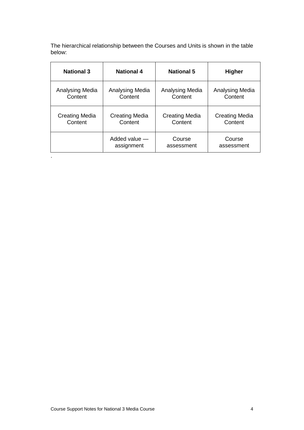The hierarchical relationship between the Courses and Units is shown in the table below:

| <b>National 3</b>     | <b>National 4</b>     | <b>National 5</b>     | <b>Higher</b>         |
|-----------------------|-----------------------|-----------------------|-----------------------|
| Analysing Media       | Analysing Media       | Analysing Media       | Analysing Media       |
| Content               | Content               | Content               | Content               |
| <b>Creating Media</b> | <b>Creating Media</b> | <b>Creating Media</b> | <b>Creating Media</b> |
| Content               | Content               | Content               | Content               |
|                       | Added value -         | Course                | Course                |
|                       | assignment            | assessment            | assessment            |

.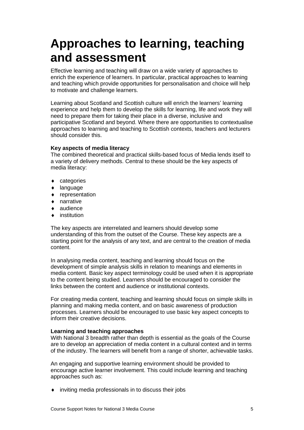### <span id="page-6-0"></span>**Approaches to learning, teaching and assessment**

Effective learning and teaching will draw on a wide variety of approaches to enrich the experience of learners. In particular, practical approaches to learning and teaching which provide opportunities for personalisation and choice will help to motivate and challenge learners.

Learning about Scotland and Scottish culture will enrich the learners' learning experience and help them to develop the skills for learning, life and work they will need to prepare them for taking their place in a diverse, inclusive and participative Scotland and beyond. Where there are opportunities to contextualise approaches to learning and teaching to Scottish contexts, teachers and lecturers should consider this.

#### **Key aspects of media literacy**

The combined theoretical and practical skills-based focus of Media lends itself to a variety of delivery methods. Central to these should be the key aspects of media literacy:

- categories
- ◆ language
- **\*** representation
- ◆ narrative
- ◆ audience
- institution

The key aspects are interrelated and learners should develop some understanding of this from the outset of the Course. These key aspects are a starting point for the analysis of any text, and are central to the creation of media content.

In analysing media content, teaching and learning should focus on the development of simple analysis skills in relation to meanings and elements in media content. Basic key aspect terminology could be used when it is appropriate to the content being studied. Learners should be encouraged to consider the links between the content and audience or institutional contexts.

For creating media content, teaching and learning should focus on simple skills in planning and making media content, and on basic awareness of production processes. Learners should be encouraged to use basic key aspect concepts to inform their creative decisions.

#### **Learning and teaching approaches**

With National 3 breadth rather than depth is essential as the goals of the Course are to develop an appreciation of media content in a cultural context and in terms of the industry. The learners will benefit from a range of shorter, achievable tasks.

An engaging and supportive learning environment should be provided to encourage active learner involvement. This could include learning and teaching approaches such as:

inviting media professionals in to discuss their jobs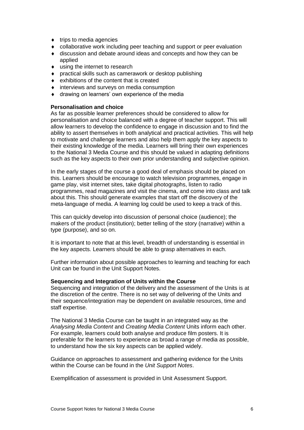- $\bullet$  trips to media agencies
- collaborative work including peer teaching and support or peer evaluation
- discussion and debate around ideas and concepts and how they can be applied
- ◆ using the internet to research
- practical skills such as camerawork or desktop publishing
- $\bullet$  exhibitions of the content that is created
- interviews and surveys on media consumption
- drawing on learners' own experience of the media

#### **Personalisation and choice**

As far as possible learner preferences should be considered to allow for personalisation and choice balanced with a degree of teacher support. This will allow learners to develop the confidence to engage in discussion and to find the ability to assert themselves in both analytical and practical activities. This will help to motivate and challenge learners and also help them apply the key aspects to their existing knowledge of the media. Learners will bring their own experiences to the National 3 Media Course and this should be valued in adapting definitions such as the key aspects to their own prior understanding and subjective opinion.

In the early stages of the course a good deal of emphasis should be placed on this. Learners should be encourage to watch television programmes, engage in game play, visit internet sites, take digital photographs, listen to radio programmes, read magazines and visit the cinema, and come into class and talk about this. This should generate examples that start off the discovery of the meta-language of media. A learning log could be used to keep a track of this.

This can quickly develop into discussion of personal choice (audience); the makers of the product (institution); better telling of the story (narrative) within a type (purpose), and so on.

It is important to note that at this level, breadth of understanding is essential in the key aspects. Learners should be able to grasp alternatives in each.

Further information about possible approaches to learning and teaching for each Unit can be found in the Unit Support Notes.

#### **Sequencing and Integration of Units within the Course**

Sequencing and integration of the delivery and the assessment of the Units is at the discretion of the centre. There is no set way of delivering of the Units and their sequence/integration may be dependent on available resources, time and staff expertise.

The National 3 Media Course can be taught in an integrated way as the *Analysing Media Content* and *Creating Media Content* Units inform each other. For example, learners could both analyse and produce film posters. It is preferable for the learners to experience as broad a range of media as possible, to understand how the six key aspects can be applied widely.

Guidance on approaches to assessment and gathering evidence for the Units within the Course can be found in the *Unit Support Notes*.

Exemplification of assessment is provided in Unit Assessment Support.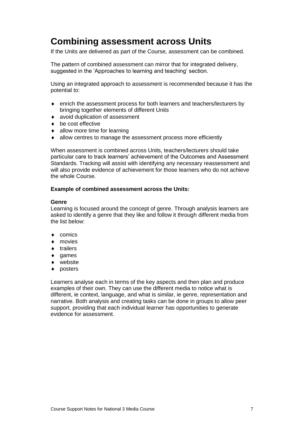### **Combining assessment across Units**

If the Units are delivered as part of the Course, assessment can be combined.

The pattern of combined assessment can mirror that for integrated delivery, suggested in the 'Approaches to learning and teaching' section.

Using an integrated approach to assessment is recommended because it has the potential to:

- enrich the assessment process for both learners and teachers/lecturers by bringing together elements of different Units
- avoid duplication of assessment
- ◆ be cost effective
- allow more time for learning
- allow centres to manage the assessment process more efficiently

When assessment is combined across Units, teachers/lecturers should take particular care to track learners' achievement of the Outcomes and Assessment Standards. Tracking will assist with identifying any necessary reassessment and will also provide evidence of achievement for those learners who do not achieve the whole Course.

#### **Example of combined assessment across the Units:**

#### **Genre**

Learning is focused around the concept of genre. Through analysis learners are asked to identify a genre that they like and follow it through different media from the list below:

- ◆ comics
- ◆ movies
- $\bullet$  trailers
- ◆ games
- website
- ◆ posters

Learners analyse each in terms of the key aspects and then plan and produce examples of their own. They can use the different media to notice what is different, ie context, language, and what is similar, ie genre, representation and narrative. Both analysis and creating tasks can be done in groups to allow peer support, providing that each individual learner has opportunities to generate evidence for assessment.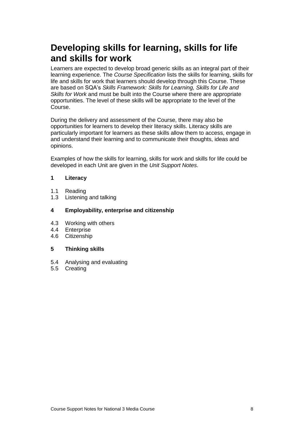### **Developing skills for learning, skills for life and skills for work**

Learners are expected to develop broad generic skills as an integral part of their learning experience. The *Course Specification* lists the skills for learning, skills for life and skills for work that learners should develop through this Course. These are based on SQA's *Skills Framework: Skills for Learning, Skills for Life and Skills for Work* and must be built into the Course where there are appropriate opportunities. The level of these skills will be appropriate to the level of the Course.

During the delivery and assessment of the Course, there may also be opportunities for learners to develop their literacy skills. Literacy skills are particularly important for learners as these skills allow them to access, engage in and understand their learning and to communicate their thoughts, ideas and opinions.

Examples of how the skills for learning, skills for work and skills for life could be developed in each Unit are given in the *Unit Support Notes*.

#### **1 Literacy**

- 1.1 Reading
- 1.3 Listening and talking

#### **4 Employability, enterprise and citizenship**

- 4.3 Working with others
- 4.4 Enterprise
- 4.6 Citizenship

#### **5 Thinking skills**

- 5.4 Analysing and evaluating
- 5.5 Creating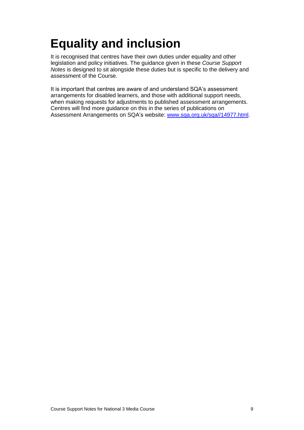## <span id="page-10-0"></span>**Equality and inclusion**

It is recognised that centres have their own duties under equality and other legislation and policy initiatives. The guidance given in these *Course Support Notes* is designed to sit alongside these duties but is specific to the delivery and assessment of the Course.

It is important that centres are aware of and understand SQA's assessment arrangements for disabled learners, and those with additional support needs, when making requests for adjustments to published assessment arrangements. Centres will find more guidance on this in the series of publications on Assessment Arrangements on SQA's website: [www.sqa.org.uk/sqa//14977.html.](http://www.sqa.org.uk/sqa/14977.html)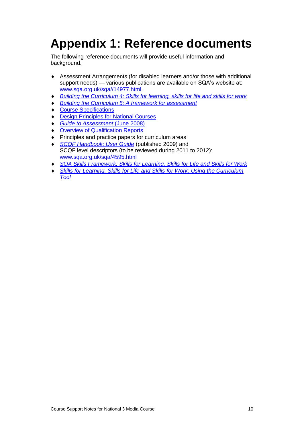## <span id="page-11-0"></span>**Appendix 1: Reference documents**

The following reference documents will provide useful information and background.

- Assessment Arrangements (for disabled learners and/or those with additional support needs) — various publications are available on SQA's website at: [www.sqa.org.uk/sqa//14977.html.](http://www.sqa.org.uk/sqa/14977.html)
- *[Building the Curriculum 4: Skills for learning, skills for life and skills for work](http://www.ltscotland.org.uk/buildingyourcurriculum/policycontext/btc/btc4.asp)*
- *[Building the Curriculum 5: A framework for assessment](http://www.ltscotland.org.uk/buildingyourcurriculum/policycontext/btc/btc5.asp)*
- ◆ [Course Specifications](http://www.sqa.org.uk/sqa/46327.2947.html)
- [Design Principles for National Courses](http://www.sqa.org.uk/sqa/42135.2629.html)
- *<u>Guide to Assessment</u>* (June 2008)
- **[Overview of Qualification Reports](http://www.sqa.org.uk/sqa/42467.2792.html)**
- ◆ Principles and practice papers for curriculum areas
- *[SCQF Handbook: User Guide](http://www.scqf.org.uk/Resources)* (published 2009) and SCQF level descriptors (to be reviewed during 2011 to 2012): [www.sqa.org.uk/sqa/4595.html](http://www.sqa.org.uk/sqa/4595.html)
- *[SQA Skills Framework: Skills for Learning, Skills for Life and Skills for Work](http://www.sqa.org.uk/sqa/45395.html)*
- **Skills for Learning, Skills for Life and Skills for Work: Using the Curriculum** *[Tool](http://www.sqa.org.uk/sqa/45395.html)*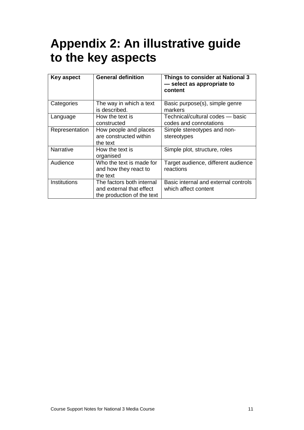## <span id="page-12-0"></span>**Appendix 2: An illustrative guide to the key aspects**

| Key aspect       | <b>General definition</b>                                                           | Things to consider at National 3<br>- select as appropriate to<br>content |
|------------------|-------------------------------------------------------------------------------------|---------------------------------------------------------------------------|
| Categories       | The way in which a text<br>is described.                                            | Basic purpose(s), simple genre<br>markers                                 |
| Language         | How the text is<br>constructed                                                      | Technical/cultural codes - basic<br>codes and connotations                |
| Representation   | How people and places<br>are constructed within<br>the text                         | Simple stereotypes and non-<br>stereotypes                                |
| <b>Narrative</b> | How the text is<br>organised                                                        | Simple plot, structure, roles                                             |
| Audience         | Who the text is made for<br>and how they react to<br>the text                       | Target audience, different audience<br>reactions                          |
| Institutions     | The factors both internal<br>and external that effect<br>the production of the text | Basic internal and external controls<br>which affect content              |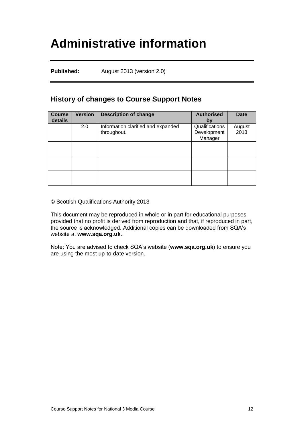## <span id="page-13-0"></span>**Administrative information**

**Published:** August 2013 (version 2.0)

#### **History of changes to Course Support Notes**

| <b>Course</b><br>details | <b>Version</b> | <b>Description of change</b>                      | <b>Authorised</b><br>by                  | Date           |
|--------------------------|----------------|---------------------------------------------------|------------------------------------------|----------------|
|                          | 2.0            | Information clarified and expanded<br>throughout. | Qualifications<br>Development<br>Manager | August<br>2013 |
|                          |                |                                                   |                                          |                |
|                          |                |                                                   |                                          |                |
|                          |                |                                                   |                                          |                |

© Scottish Qualifications Authority 2013

This document may be reproduced in whole or in part for educational purposes provided that no profit is derived from reproduction and that, if reproduced in part, the source is acknowledged. Additional copies can be downloaded from SQA's website at **[www.sqa.org.uk](http://www.sqa.org.uk/)**.

Note: You are advised to check SQA's website (**[www.sqa.org.uk](http://www.sqa.org.uk/)**) to ensure you are using the most up-to-date version.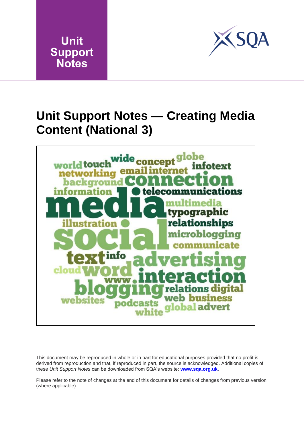



### <span id="page-14-0"></span>**Unit Support Notes — Creating Media Content (National 3)**



This document may be reproduced in whole or in part for educational purposes provided that no profit is derived from reproduction and that, if reproduced in part, the source is acknowledged. Additional copies of these *Unit Support Notes* can be downloaded from SQA's website: **[www.sqa.org.uk](http://www.sqa.org.uk/)**.

Please refer to the note of changes at the end of this document for details of changes from previous version (where applicable).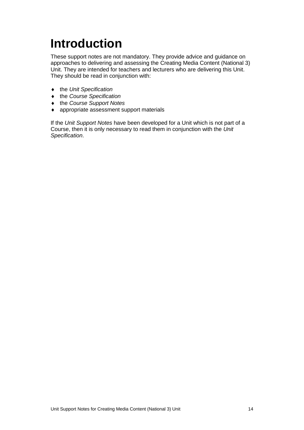# <span id="page-15-0"></span>**Introduction**

These support notes are not mandatory. They provide advice and guidance on approaches to delivering and assessing the Creating Media Content (National 3) Unit. They are intended for teachers and lecturers who are delivering this Unit. They should be read in conjunction with:

- the *Unit Specification*
- the *Course Specification*
- the *Course Support Notes*
- appropriate assessment support materials

If the *Unit Support Notes* have been developed for a Unit which is not part of a Course, then it is only necessary to read them in conjunction with the *Unit Specification*.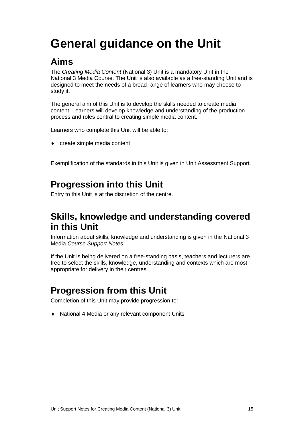# <span id="page-16-0"></span>**General guidance on the Unit**

### **Aims**

The *Creating Media Content* (National 3) Unit is a mandatory Unit in the National 3 Media Course. The Unit is also available as a free-standing Unit and is designed to meet the needs of a broad range of learners who may choose to study it.

The general aim of this Unit is to develop the skills needed to create media content. Learners will develop knowledge and understanding of the production process and roles central to creating simple media content.

Learners who complete this Unit will be able to:

create simple media content

Exemplification of the standards in this Unit is given in Unit Assessment Support.

### **Progression into this Unit**

Entry to this Unit is at the discretion of the centre.

### **Skills, knowledge and understanding covered in this Unit**

Information about skills, knowledge and understanding is given in the National 3 Media *Course Support Notes.*

If the Unit is being delivered on a free-standing basis, teachers and lecturers are free to select the skills, knowledge, understanding and contexts which are most appropriate for delivery in their centres.

### **Progression from this Unit**

Completion of this Unit may provide progression to:

◆ National 4 Media or any relevant component Units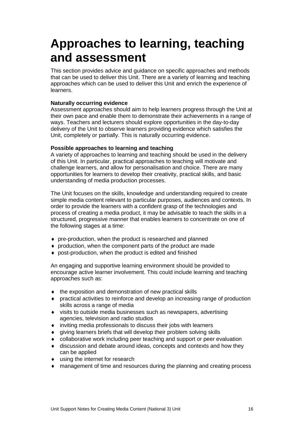## <span id="page-17-0"></span>**Approaches to learning, teaching and assessment**

This section provides advice and guidance on specific approaches and methods that can be used to deliver this Unit. There are a variety of learning and teaching approaches which can be used to deliver this Unit and enrich the experience of learners.

#### **Naturally occurring evidence**

Assessment approaches should aim to help learners progress through the Unit at their own pace and enable them to demonstrate their achievements in a range of ways. Teachers and lecturers should explore opportunities in the day-to-day delivery of the Unit to observe learners providing evidence which satisfies the Unit, completely or partially. This is naturally occurring evidence.

#### **Possible approaches to learning and teaching**

A variety of approaches to learning and teaching should be used in the delivery of this Unit. In particular, practical approaches to teaching will motivate and challenge learners, and allow for personalisation and choice. There are many opportunities for learners to develop their creativity, practical skills, and basic understanding of media production processes.

The Unit focuses on the skills, knowledge and understanding required to create simple media content relevant to particular purposes, audiences and contexts. In order to provide the learners with a confident grasp of the technologies and process of creating a media product, it may be advisable to teach the skills in a structured, progressive manner that enables learners to concentrate on one of the following stages at a time:

- pre-production, when the product is researched and planned
- production, when the component parts of the product are made
- post-production, when the product is edited and finished

An engaging and supportive learning environment should be provided to encourage active learner involvement. This could include learning and teaching approaches such as:

- the exposition and demonstration of new practical skills
- practical activities to reinforce and develop an increasing range of production skills across a range of media
- visits to outside media businesses such as newspapers, advertising agencies, television and radio studios
- inviting media professionals to discuss their jobs with learners
- giving learners briefs that will develop their problem solving skills
- collaborative work including peer teaching and support or peer evaluation
- discussion and debate around ideas, concepts and contexts and how they can be applied
- ◆ using the internet for research
- management of time and resources during the planning and creating process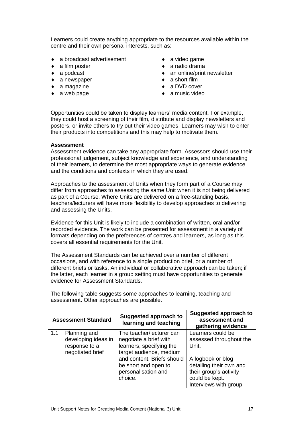Learners could create anything appropriate to the resources available within the centre and their own personal interests, such as:

- a broadcast advertisement
- a film poster
- ◆ a podcast
- ◆ a newspaper
- ◆ a magazine
- a web page
- ◆ a video game
- $\bullet$  a radio drama
- ◆ an online/print newsletter
- ◆ a short film
- ◆ a DVD cover
- $\bullet$  a music video

Opportunities could be taken to display learners' media content. For example, they could host a screening of their film, distribute and display newsletters and posters, or invite others to try out their video games. Learners may wish to enter their products into competitions and this may help to motivate them.

#### **Assessment**

Assessment evidence can take any appropriate form. Assessors should use their professional judgement, subject knowledge and experience, and understanding of their learners, to determine the most appropriate ways to generate evidence and the conditions and contexts in which they are used.

Approaches to the assessment of Units when they form part of a Course may differ from approaches to assessing the same Unit when it is not being delivered as part of a Course. Where Units are delivered on a free-standing basis, teachers/lecturers will have more flexibility to develop approaches to delivering and assessing the Units.

Evidence for this Unit is likely to include a combination of written, oral and/or recorded evidence. The work can be presented for assessment in a variety of formats depending on the preferences of centres and learners, as long as this covers all essential requirements for the Unit.

The Assessment Standards can be achieved over a number of different occasions, and with reference to a single production brief, or a number of different briefs or tasks. An individual or collaborative approach can be taken; if the latter, each learner in a group setting must have opportunities to generate evidence for Assessment Standards.

**Assessment Standard Suggested approach to learning and teaching Suggested approach to assessment and gathering evidence** 1.1 Planning and developing ideas in response to a negotiated brief The teacher/lecturer can negotiate a brief with learners, specifying the target audience, medium and content. Briefs should be short and open to personalisation and choice. Learners could be assessed throughout the Unit. A logbook or blog detailing their own and their group's activity could be kept. Interviews with group

The following table suggests some approaches to learning, teaching and assessment. Other approaches are possible.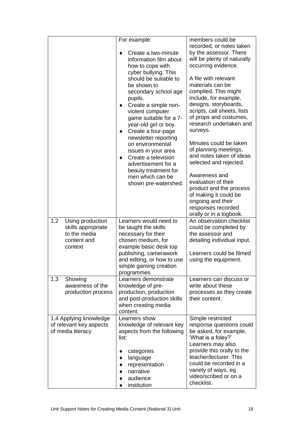|                                                                                         | For example:<br>Create a two-minute<br>information film about<br>how to cope with<br>cyber bullying. This<br>should be suitable to<br>be shown to<br>secondary school age<br>pupils.<br>Create a simple non-<br>٠<br>violent computer<br>game suitable for a 7-<br>year-old girl or boy.<br>Create a four-page<br>newsletter reporting<br>on environmental<br>issues in your area.<br>Create a television<br>advertisement for a<br>beauty treatment for<br>men which can be<br>shown pre-watershed. | members could be<br>recorded, or notes taken<br>by the assessor. There<br>will be plenty of naturally<br>occurring evidence.<br>A file with relevant<br>materials can be<br>compiled. This might<br>include, for example,<br>designs, storyboards,<br>scripts, call sheets, lists<br>of props and costumes,<br>research undertaken and<br>surveys.<br>Minutes could be taken<br>of planning meetings,<br>and notes taken of ideas<br>selected and rejected.<br>Awareness and<br>evaluation of their<br>product and the process<br>of making it could be<br>ongoing and their<br>responses recorded<br>orally or in a logbook. |
|-----------------------------------------------------------------------------------------|------------------------------------------------------------------------------------------------------------------------------------------------------------------------------------------------------------------------------------------------------------------------------------------------------------------------------------------------------------------------------------------------------------------------------------------------------------------------------------------------------|-------------------------------------------------------------------------------------------------------------------------------------------------------------------------------------------------------------------------------------------------------------------------------------------------------------------------------------------------------------------------------------------------------------------------------------------------------------------------------------------------------------------------------------------------------------------------------------------------------------------------------|
| 1.2<br>Using production<br>skills appropriate<br>to the media<br>content and<br>context | Learners would need to<br>be taught the skills<br>necessary for their<br>chosen medium, for<br>example basic desk top                                                                                                                                                                                                                                                                                                                                                                                | An observation checklist<br>could be completed by<br>the assessor and<br>detailing individual input.                                                                                                                                                                                                                                                                                                                                                                                                                                                                                                                          |
|                                                                                         | publishing, camerawork<br>and editing, or how to use<br>simple gaming creation<br>programmes                                                                                                                                                                                                                                                                                                                                                                                                         | Learners could be filmed<br>using the equipment.                                                                                                                                                                                                                                                                                                                                                                                                                                                                                                                                                                              |
| 1.3<br>Showing<br>awareness of the<br>production process                                | Learners demonstrate<br>knowledge of pre-<br>production, production<br>and post-production skills<br>when creating media<br>content.                                                                                                                                                                                                                                                                                                                                                                 | Learners can discuss or<br>write about these<br>processes as they create<br>their content.                                                                                                                                                                                                                                                                                                                                                                                                                                                                                                                                    |
| 1.4 Applying knowledge<br>of relevant key aspects<br>of media literacy                  | Learners show<br>knowledge of relevant key<br>aspects from the following<br>list:<br>categories<br>language<br>representation<br>narrative<br>audience<br>institution                                                                                                                                                                                                                                                                                                                                | Simple restricted<br>response questions could<br>be asked, for example,<br>'What is a foley?'<br>Learners may also<br>provide this orally to the<br>teacher/lecturer. This<br>could be recorded in a<br>variety of ways, eg<br>video/scribed or on a<br>checklist.                                                                                                                                                                                                                                                                                                                                                            |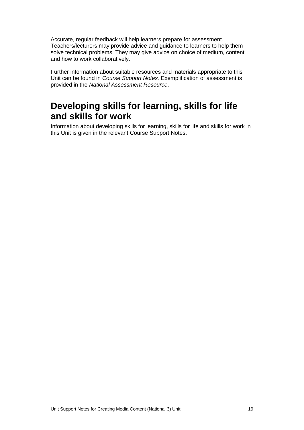Accurate, regular feedback will help learners prepare for assessment. Teachers/lecturers may provide advice and guidance to learners to help them solve technical problems. They may give advice on choice of medium, content and how to work collaboratively.

Further information about suitable resources and materials appropriate to this Unit can be found in *Course Support Notes.* Exemplification of assessment is provided in the *National Assessment Resource*.

### **Developing skills for learning, skills for life and skills for work**

Information about developing skills for learning, skills for life and skills for work in this Unit is given in the relevant Course Support Notes.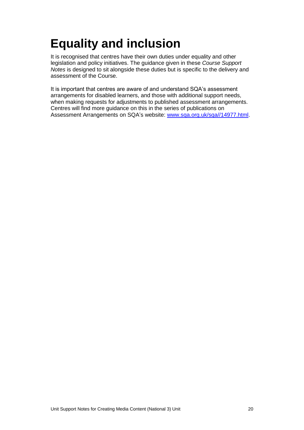## <span id="page-21-0"></span>**Equality and inclusion**

It is recognised that centres have their own duties under equality and other legislation and policy initiatives. The guidance given in these *Course Support Notes* is designed to sit alongside these duties but is specific to the delivery and assessment of the Course.

It is important that centres are aware of and understand SQA's assessment arrangements for disabled learners, and those with additional support needs, when making requests for adjustments to published assessment arrangements. Centres will find more guidance on this in the series of publications on Assessment Arrangements on SQA's website: [www.sqa.org.uk/sqa//14977.html.](http://www.sqa.org.uk/sqa/14977.html)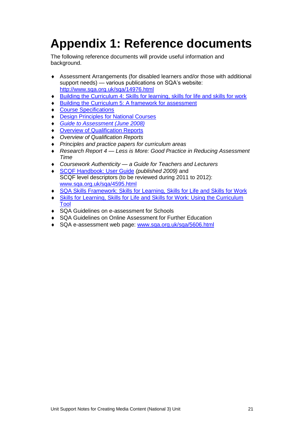## <span id="page-22-0"></span>**Appendix 1: Reference documents**

The following reference documents will provide useful information and background.

- Assessment Arrangements (for disabled learners and/or those with additional support needs) — various publications on SQA's website: <http://www.sqa.org.uk/sqa/14976.html>
- [Building the Curriculum 4: Skills for learning, skills for life and skills for work](http://www.ltscotland.org.uk/buildingyourcurriculum/policycontext/btc/btc4.asp)
- [Building the Curriculum 5: A framework for assessment](http://www.ltscotland.org.uk/buildingyourcurriculum/policycontext/btc/btc5.asp)
- [Course Specifications](http://www.sqa.org.uk/sqa/46327.2947.html)
- [Design Principles for National Courses](http://www.sqa.org.uk/sqa/42135.2629.html)
- *[Guide to Assessment \(June 2008\)](http://www.sqa.org.uk/files_ccc/25GuideToAssessment.pdf)*
- **[Overview of Qualification Reports](http://www.sqa.org.uk/sqa/42467.2792.html)**
- *Overview of Qualification Reports*
- *Principles and practice papers for curriculum areas*
- *Research Report 4 — Less is More: Good Practice in Reducing Assessment Time*
- *Coursework Authenticity — a Guide for Teachers and Lecturers*
- [SCQF Handbook: User Guide](http://www.scqf.org.uk/Resources) *(published 2009)* and SCQF level descriptors (to be reviewed during 2011 to 2012): [www.sqa.org.uk/sqa/4595.html](http://www.sqa.org.uk/sqa/4595.html)
- [SQA Skills Framework: Skills for Learning, Skills for Life and Skills for Work](http://www.sqa.org.uk/sqa/45395.html)
- [Skills for Learning, Skills for Life and Skills for Work: Using the Curriculum](http://www.sqa.org.uk/sqa/45395.html)  [Tool](http://www.sqa.org.uk/sqa/45395.html)
- ◆ SQA Guidelines on e-assessment for Schools
- SQA Guidelines on Online Assessment for Further Education
- SQA e-assessment web page: [www.sqa.org.uk/sqa/5606.html](http://www.sqa.org.uk/sqa/5606.html)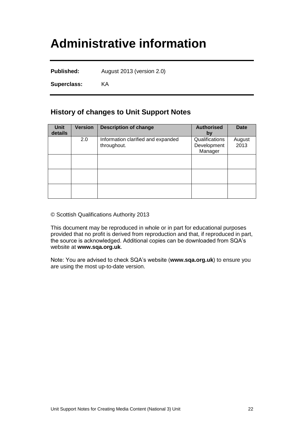## <span id="page-23-0"></span>**Administrative information**

**Published:** August 2013 (version 2.0)

**Superclass:** KA

### **History of changes to Unit Support Notes**

| <b>Unit</b><br>details | <b>Version</b> | <b>Description of change</b>                      | <b>Authorised</b><br>by                  | <b>Date</b>    |
|------------------------|----------------|---------------------------------------------------|------------------------------------------|----------------|
|                        | 2.0            | Information clarified and expanded<br>throughout. | Qualifications<br>Development<br>Manager | August<br>2013 |
|                        |                |                                                   |                                          |                |
|                        |                |                                                   |                                          |                |
|                        |                |                                                   |                                          |                |

© Scottish Qualifications Authority 2013

This document may be reproduced in whole or in part for educational purposes provided that no profit is derived from reproduction and that, if reproduced in part, the source is acknowledged. Additional copies can be downloaded from SQA's website at **[www.sqa.org.uk](http://www.sqa.org.uk/)**.

Note: You are advised to check SQA's website (**[www.sqa.org.uk](http://www.sqa.org.uk/)**) to ensure you are using the most up-to-date version.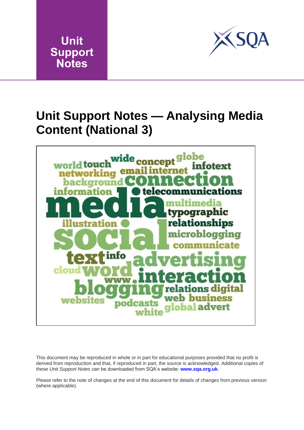



### <span id="page-24-0"></span>**Unit Support Notes — Analysing Media Content (National 3)**



This document may be reproduced in whole or in part for educational purposes provided that no profit is derived from reproduction and that, if reproduced in part, the source is acknowledged. Additional copies of these *Unit Support Notes* can be downloaded from SQA's website: **[www.sqa.org.uk](http://www.sqa.org.uk/)**.

Please refer to the note of changes at the end of this document for details of changes from previous version (where applicable).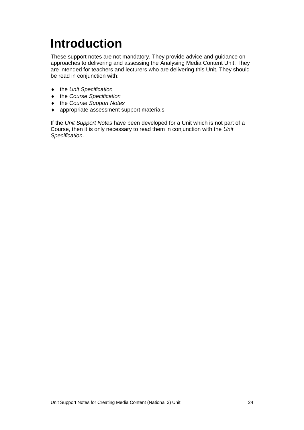# <span id="page-25-0"></span>**Introduction**

These support notes are not mandatory. They provide advice and guidance on approaches to delivering and assessing the Analysing Media Content Unit. They are intended for teachers and lecturers who are delivering this Unit. They should be read in conjunction with:

- the *Unit Specification*
- the *Course Specification*
- the *Course Support Notes*
- appropriate assessment support materials

If the *Unit Support Notes* have been developed for a Unit which is not part of a Course, then it is only necessary to read them in conjunction with the *Unit Specification*.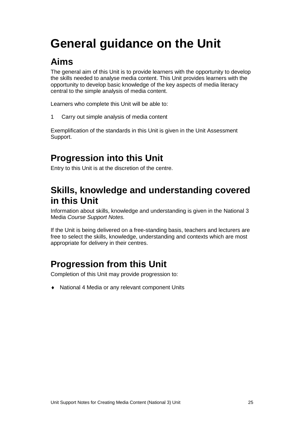## <span id="page-26-0"></span>**General guidance on the Unit**

### **Aims**

The general aim of this Unit is to provide learners with the opportunity to develop the skills needed to analyse media content. This Unit provides learners with the opportunity to develop basic knowledge of the key aspects of media literacy central to the simple analysis of media content.

Learners who complete this Unit will be able to:

1 Carry out simple analysis of media content

Exemplification of the standards in this Unit is given in the Unit Assessment Support.

### **Progression into this Unit**

Entry to this Unit is at the discretion of the centre.

### **Skills, knowledge and understanding covered in this Unit**

Information about skills, knowledge and understanding is given in the National 3 Media *Course Support Notes.*

If the Unit is being delivered on a free-standing basis, teachers and lecturers are free to select the skills, knowledge, understanding and contexts which are most appropriate for delivery in their centres.

### **Progression from this Unit**

Completion of this Unit may provide progression to:

National 4 Media or any relevant component Units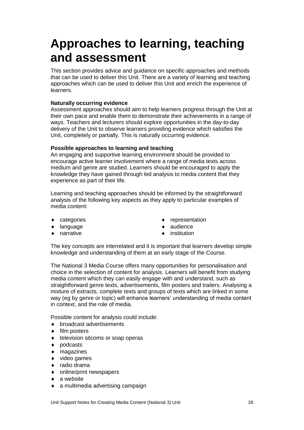## <span id="page-27-0"></span>**Approaches to learning, teaching and assessment**

This section provides advice and guidance on specific approaches and methods that can be used to deliver this Unit. There are a variety of learning and teaching approaches which can be used to deliver this Unit and enrich the experience of learners.

#### **Naturally occurring evidence**

Assessment approaches should aim to help learners progress through the Unit at their own pace and enable them to demonstrate their achievements in a range of ways. Teachers and lecturers should explore opportunities in the day-to-day delivery of the Unit to observe learners providing evidence which satisfies the Unit, completely or partially. This is naturally occurring evidence.

#### **Possible approaches to learning and teaching**

An engaging and supportive learning environment should be provided to encourage active learner involvement where a range of media texts across medium and genre are studied. Learners should be encouraged to apply the knowledge they have gained through led analysis to media content that they experience as part of their life.

Learning and teaching approaches should be informed by the straightforward analysis of the following key aspects as they apply to particular examples of media content:

- categories
- language
- narrative
- representation
- ◆ audience
- institution

The key concepts are interrelated and it is important that learners develop simple knowledge and understanding of them at an early stage of the Course.

The National 3 Media Course offers many opportunities for personalisation and choice in the selection of content for analysis. Learners will benefit from studying media content which they can easily engage with and understand, such as straightforward genre texts, advertisements, film posters and trailers. Analysing a mixture of extracts, complete texts and groups of texts which are linked in some way (eg by genre or topic) will enhance learners' understanding of media content in context, and the role of media.

Possible content for analysis could include:

- broadcast advertisements
- $\bullet$  film posters
- ◆ television sitcoms or soap operas
- ◆ podcasts
- magazines
- $\bullet$  video games
- ◆ radio drama
- online/print newspapers
- a website
- a multimedia advertising campaign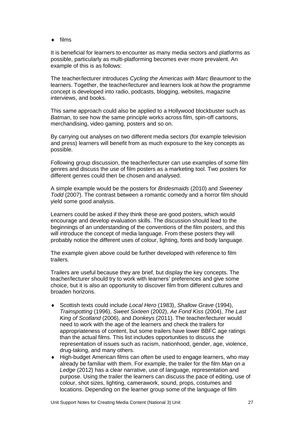$\bullet$  films

It is beneficial for learners to encounter as many media sectors and platforms as possible, particularly as multi-platforming becomes ever more prevalent. An example of this is as follows:

The teacher/lecturer introduces *Cycling the Americas with Marc Beaumont* to the learners. Together, the teacher/lecturer and learners look at how the programme concept is developed into radio, podcasts, blogging, websites, magazine interviews, and books.

This same approach could also be applied to a Hollywood blockbuster such as *Batman*, to see how the same principle works across film, spin-off cartoons, merchandising, video gaming, posters and so on.

By carrying out analyses on two different media sectors (for example television and press) learners will benefit from as much exposure to the key concepts as possible.

Following group discussion, the teacher/lecturer can use examples of some film genres and discuss the use of film posters as a marketing tool. Two posters for different genres could then be chosen and analysed.

A simple example would be the posters for *Bridesmaids* (2010) and *Sweeney Todd* (2007). The contrast between a romantic comedy and a horror film should yield some good analysis.

Learners could be asked if they think these are good posters, which would encourage and develop evaluation skills. The discussion should lead to the beginnings of an understanding of the conventions of the film posters, and this will introduce the concept of media language. From these posters they will probably notice the different uses of colour, lighting, fonts and body language.

The example given above could be further developed with reference to film trailers.

Trailers are useful because they are brief, but display the key concepts. The teacher/lecturer should try to work with learners' preferences and give some choice, but it is also an opportunity to discover film from different cultures and broaden horizons.

- Scottish texts could include *Local Hero* (1983), *Shallow Grave* (1994), *Trainspotting* (1996), *Sweet Sixteen* (2002), *Ae Fond Kiss* (2004), *The Last King of Scotland* (2006), and *Donkeys* (2011). The teacher/lecturer would need to work with the age of the learners and check the trailers for appropriateness of content, but some trailers have lower BBFC age ratings than the actual films. This list includes opportunities to discuss the representation of issues such as racism, nationhood, gender, age, violence, drug-taking, and many others.
- High-budget American films can often be used to engage learners, who may already be familiar with them. For example, the trailer for the film *Man on a Ledge* (2012) has a clear narrative, use of language, representation and purpose. Using the trailer the learners can discuss the pace of editing, use of colour, shot sizes, lighting, camerawork, sound, props, costumes and locations. Depending on the learner group some of the language of film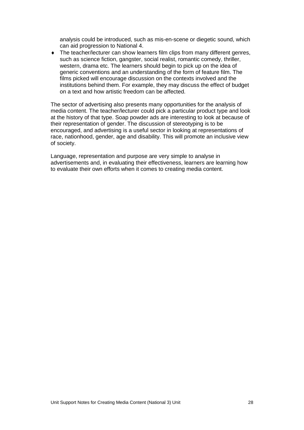analysis could be introduced, such as mis-en-scene or diegetic sound, which can aid progression to National 4.

 The teacher/lecturer can show learners film clips from many different genres, such as science fiction, gangster, social realist, romantic comedy, thriller, western, drama etc. The learners should begin to pick up on the idea of generic conventions and an understanding of the form of feature film. The films picked will encourage discussion on the contexts involved and the institutions behind them. For example, they may discuss the effect of budget on a text and how artistic freedom can be affected.

The sector of advertising also presents many opportunities for the analysis of media content. The teacher/lecturer could pick a particular product type and look at the history of that type. Soap powder ads are interesting to look at because of their representation of gender. The discussion of stereotyping is to be encouraged, and advertising is a useful sector in looking at representations of race, nationhood, gender, age and disability. This will promote an inclusive view of society.

Language, representation and purpose are very simple to analyse in advertisements and, in evaluating their effectiveness, learners are learning how to evaluate their own efforts when it comes to creating media content.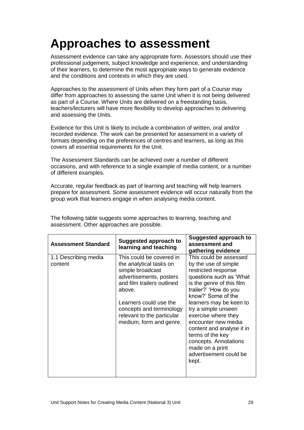## <span id="page-30-0"></span>**Approaches to assessment**

Assessment evidence can take any appropriate form. Assessors should use their professional judgement, subject knowledge and experience, and understanding of their learners, to determine the most appropriate ways to generate evidence and the conditions and contexts in which they are used.

Approaches to the assessment of Units when they form part of a Course may differ from approaches to assessing the same Unit when it is not being delivered as part of a Course. Where Units are delivered on a freestanding basis, teachers/lecturers will have more flexibility to develop approaches to delivering and assessing the Units.

Evidence for this Unit is likely to include a combination of written, oral and/or recorded evidence. The work can be presented for assessment in a variety of formats depending on the preferences of centres and learners, as long as this covers all essential requirements for the Unit.

The Assessment Standards can be achieved over a number of different occasions, and with reference to a single example of media content, or a number of different examples.

Accurate, regular feedback as part of learning and teaching will help learners prepare for assessment. Some assessment evidence will occur naturally from the group work that learners engage in when analysing media content.

| <b>Assessment Standard</b>      | Suggested approach to<br>learning and teaching                                                                                                                                                                                                            | <b>Suggested approach to</b><br>assessment and<br>gathering evidence                                                                                                                                                                                                                                                                                                                                         |
|---------------------------------|-----------------------------------------------------------------------------------------------------------------------------------------------------------------------------------------------------------------------------------------------------------|--------------------------------------------------------------------------------------------------------------------------------------------------------------------------------------------------------------------------------------------------------------------------------------------------------------------------------------------------------------------------------------------------------------|
| 1.1 Describing media<br>content | This could be covered in<br>the analytical tasks on<br>simple broadcast<br>advertisements, posters<br>and film trailers outlined<br>above.<br>Learners could use the<br>concepts and terminology<br>relevant to the particular<br>medium, form and genre. | This could be assessed<br>by the use of simple<br>restricted response<br>questions such as 'What<br>is the genre of this film<br>trailer?' 'How do you<br>know?' Some of the<br>learners may be keen to<br>try a simple unseen<br>exercise where they<br>encounter new media<br>content and analyse it in<br>terms of the key<br>concepts. Annotations<br>made on a print<br>advertisement could be<br>kept. |

The following table suggests some approaches to learning, teaching and assessment. Other approaches are possible.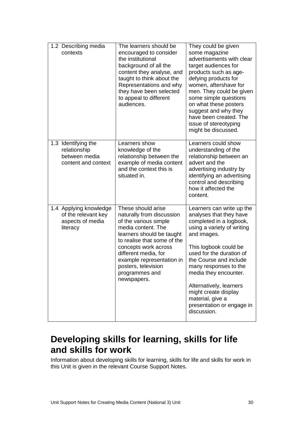| 1.2 Describing media<br>contexts                                              | The learners should be<br>encouraged to consider<br>the institutional<br>background of all the<br>content they analyse, and<br>taught to think about the<br>Representations and why<br>they have been selected<br>to appeal to different<br>audiences.                                          | They could be given<br>some magazine<br>advertisements with clear<br>target audiences for<br>products such as age-<br>defying products for<br>women, aftershave for<br>men. They could be given<br>some simple questions<br>on what these posters<br>suggest and why they<br>have been created. The<br>issue of stereotyping<br>might be discussed.                              |
|-------------------------------------------------------------------------------|-------------------------------------------------------------------------------------------------------------------------------------------------------------------------------------------------------------------------------------------------------------------------------------------------|----------------------------------------------------------------------------------------------------------------------------------------------------------------------------------------------------------------------------------------------------------------------------------------------------------------------------------------------------------------------------------|
| 1.3 Identifying the<br>relationship<br>between media<br>content and context   | Learners show<br>knowledge of the<br>relationship between the<br>example of media content<br>and the context this is<br>situated in.                                                                                                                                                            | Learners could show<br>understanding of the<br>relationship between an<br>advert and the<br>advertising industry by<br>identifying an advertising<br>control and describing<br>how it affected the<br>content.                                                                                                                                                                   |
| 1.4 Applying knowledge<br>of the relevant key<br>aspects of media<br>literacy | These should arise<br>naturally from discussion<br>of the various simple<br>media content. The<br>learners should be taught<br>to realise that some of the<br>concepts work across<br>different media, for<br>example representation in<br>posters, television<br>programmes and<br>newspapers. | Learners can write up the<br>analyses that they have<br>completed in a logbook,<br>using a variety of writing<br>and images.<br>This logbook could be<br>used for the duration of<br>the Course and include<br>many responses to the<br>media they encounter.<br>Alternatively, learners<br>might create display<br>material, give a<br>presentation or engage in<br>discussion. |

### **Developing skills for learning, skills for life and skills for work**

Information about developing skills for learning, skills for life and skills for work in this Unit is given in the relevant Course Support Notes.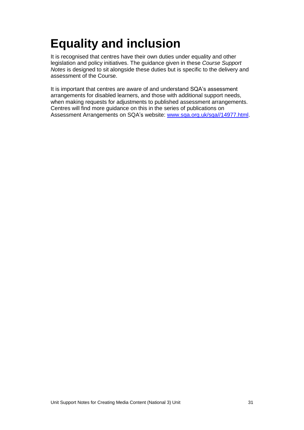## <span id="page-32-0"></span>**Equality and inclusion**

It is recognised that centres have their own duties under equality and other legislation and policy initiatives. The guidance given in these *Course Support Notes* is designed to sit alongside these duties but is specific to the delivery and assessment of the Course.

It is important that centres are aware of and understand SQA's assessment arrangements for disabled learners, and those with additional support needs, when making requests for adjustments to published assessment arrangements. Centres will find more guidance on this in the series of publications on Assessment Arrangements on SQA's website: [www.sqa.org.uk/sqa//14977.html.](http://www.sqa.org.uk/sqa/14977.html)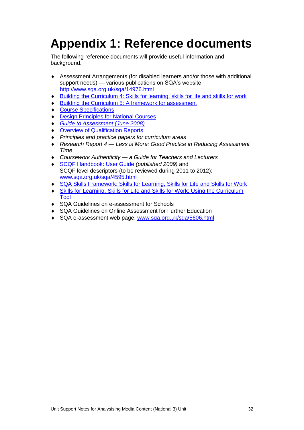## <span id="page-33-0"></span>**Appendix 1: Reference documents**

The following reference documents will provide useful information and background.

- Assessment Arrangements (for disabled learners and/or those with additional support needs) — various publications on SQA's website: <http://www.sqa.org.uk/sqa/14976.html>
- [Building the Curriculum 4: Skills for learning, skills for life and skills for work](http://www.ltscotland.org.uk/buildingyourcurriculum/policycontext/btc/btc4.asp)
- [Building the Curriculum 5: A framework for assessment](http://www.ltscotland.org.uk/buildingyourcurriculum/policycontext/btc/btc5.asp)
- [Course Specifications](http://www.sqa.org.uk/sqa/46327.2947.html)
- [Design Principles for National Courses](http://www.sqa.org.uk/sqa/42135.2629.html)
- *[Guide to Assessment \(June 2008\)](http://www.sqa.org.uk/files_ccc/25GuideToAssessment.pdf)*
- **[Overview of Qualification Reports](http://www.sqa.org.uk/sqa/42467.2792.html)**
- *Principles and practice papers for curriculum areas*
- *Research Report 4 — Less is More: Good Practice in Reducing Assessment Time*
- *Coursework Authenticity — a Guide for Teachers and Lecturers*
- [SCQF Handbook: User Guide](http://www.scqf.org.uk/Resources) *(published 2009)* and SCQF level descriptors (to be reviewed during 2011 to 2012): [www.sqa.org.uk/sqa/4595.html](http://www.sqa.org.uk/sqa/4595.html)
- [SQA Skills Framework: Skills for Learning, Skills for Life and Skills for Work](http://www.sqa.org.uk/sqa/45395.html)
- Skills for Learning, [Skills for Life and Skills for Work: Using the Curriculum](http://www.sqa.org.uk/sqa/45395.html)  [Tool](http://www.sqa.org.uk/sqa/45395.html)
- ◆ SQA Guidelines on e-assessment for Schools
- SQA Guidelines on Online Assessment for Further Education
- ◆ SQA e-assessment web page: [www.sqa.org.uk/sqa/5606.html](http://www.sqa.org.uk/sqa/5606.html)